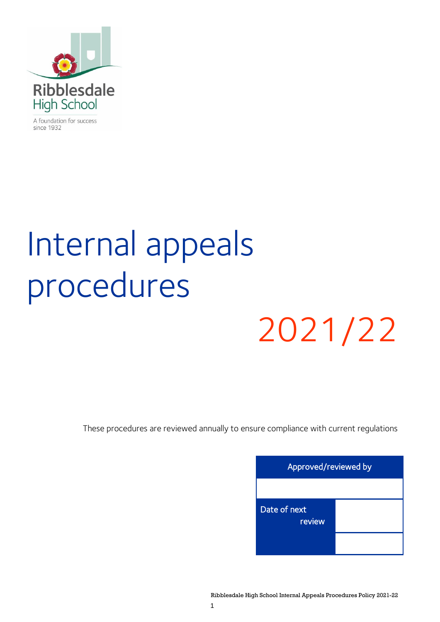

A foundation for success since 1932

# Internal appeals procedures

## 2021/22

These procedures are reviewed annually to ensure compliance with current regulations

| Approved/reviewed by   |  |  |
|------------------------|--|--|
|                        |  |  |
| Date of next<br>review |  |  |
|                        |  |  |

Ribblesdale High School Internal Appeals Procedures Policy 2021-22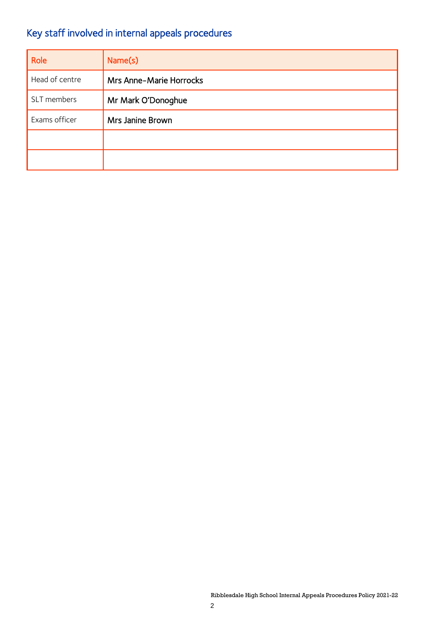### Key staff involved in internal appeals procedures

| Role           | Name(s)                        |
|----------------|--------------------------------|
| Head of centre | <b>Mrs Anne-Marie Horrocks</b> |
| SLT members    | Mr Mark O'Donoghue             |
| Exams officer  | Mrs Janine Brown               |
|                |                                |
|                |                                |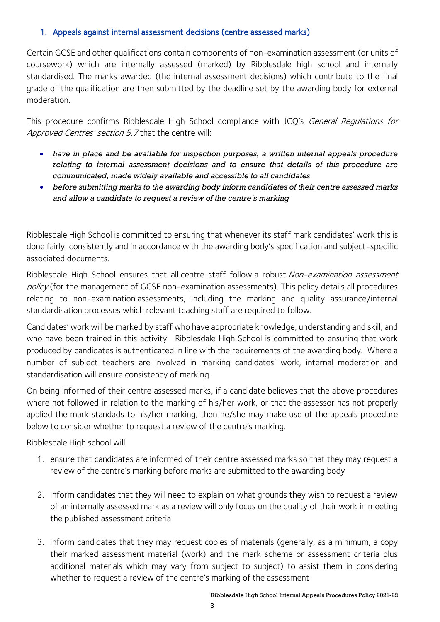#### 1. Appeals against internal assessment decisions (centre assessed marks)

Certain GCSE and other qualifications contain components of non-examination assessment (or units of coursework) which are internally assessed (marked) by Ribblesdale high school and internally standardised. The marks awarded (the internal assessment decisions) which contribute to the final grade of the qualification are then submitted by the deadline set by the awarding body for external moderation.

This procedure confirms Ribblesdale High School compliance with JCQ's General Regulations for Approved Centres section 5.7 that the centre will:

- *have in place and be available for inspection purposes, a written internal appeals procedure relating to internal assessment decisions and to ensure that details of this procedure are communicated, made widely available and accessible to all candidates*
- *before submitting marks to the awarding body inform candidates of their centre assessed marks and allow a candidate to request a review of the centre's marking*

Ribblesdale High School is committed to ensuring that whenever its staff mark candidates' work this is done fairly, consistently and in accordance with the awarding body's specification and subject-specific associated documents.

Ribblesdale High School ensures that all centre staff follow a robust Non-examination assessment policy (for the management of GCSE non-examination assessments). This policy details all procedures relating to non-examination assessments, including the marking and quality assurance/internal standardisation processes which relevant teaching staff are required to follow.

Candidates' work will be marked by staff who have appropriate knowledge, understanding and skill, and who have been trained in this activity. Ribblesdale High School is committed to ensuring that work produced by candidates is authenticated in line with the requirements of the awarding body. Where a number of subject teachers are involved in marking candidates' work, internal moderation and standardisation will ensure consistency of marking.

On being informed of their centre assessed marks, if a candidate believes that the above procedures where not followed in relation to the marking of his/her work, or that the assessor has not properly applied the mark standads to his/her marking, then he/she may make use of the appeals procedure below to consider whether to request a review of the centre's marking.

Ribblesdale High school will

- 1. ensure that candidates are informed of their centre assessed marks so that they may request a review of the centre's marking before marks are submitted to the awarding body
- 2. inform candidates that they will need to explain on what grounds they wish to request a review of an internally assessed mark as a review will only focus on the quality of their work in meeting the published assessment criteria
- 3. inform candidates that they may request copies of materials (generally, as a minimum, a copy their marked assessment material (work) and the mark scheme or assessment criteria plus additional materials which may vary from subject to subject) to assist them in considering whether to request a review of the centre's marking of the assessment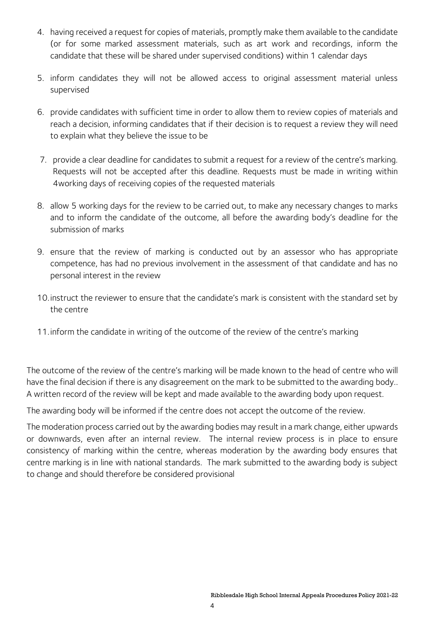- 4. having received a request for copies of materials, promptly make them available to the candidate (or for some marked assessment materials, such as art work and recordings, inform the candidate that these will be shared under supervised conditions) within 1 calendar days
- 5. inform candidates they will not be allowed access to original assessment material unless supervised
- 6. provide candidates with sufficient time in order to allow them to review copies of materials and reach a decision, informing candidates that if their decision is to request a review they will need to explain what they believe the issue to be
- 7. provide a clear deadline for candidates to submit a request for a review of the centre's marking. Requests will not be accepted after this deadline. Requests must be made in writing within 4working days of receiving copies of the requested materials
- 8. allow 5 working days for the review to be carried out, to make any necessary changes to marks and to inform the candidate of the outcome, all before the awarding body's deadline for the submission of marks
- 9. ensure that the review of marking is conducted out by an assessor who has appropriate competence, has had no previous involvement in the assessment of that candidate and has no personal interest in the review
- 10.instruct the reviewer to ensure that the candidate's mark is consistent with the standard set by the centre
- 11.inform the candidate in writing of the outcome of the review of the centre's marking

The outcome of the review of the centre's marking will be made known to the head of centre who will have the final decision if there is any disagreement on the mark to be submitted to the awarding body.. A written record of the review will be kept and made available to the awarding body upon request.

The awarding body will be informed if the centre does not accept the outcome of the review.

The moderation process carried out by the awarding bodies may result in a mark change, either upwards or downwards, even after an internal review. The internal review process is in place to ensure consistency of marking within the centre, whereas moderation by the awarding body ensures that centre marking is in line with national standards. The mark submitted to the awarding body is subject to change and should therefore be considered provisional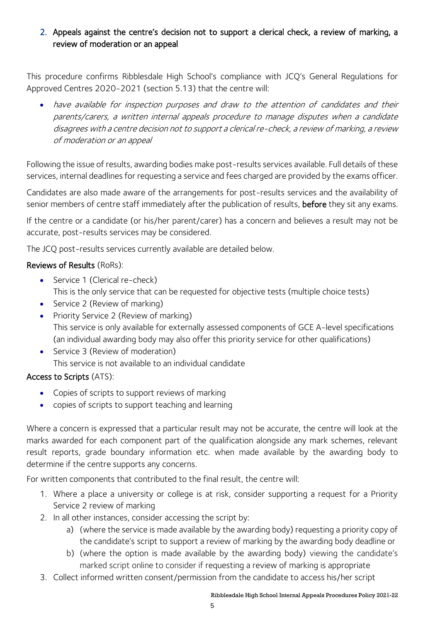#### 2. Appeals against the centre's decision not to support a clerical check, a review of marking, a review of moderation or an appeal

This procedure confirms Ribblesdale High School's compliance with JCQ's General Regulations for Approved Centres 2020-2021 (section 5.13) that the centre will:

• have available for inspection purposes and draw to the attention of candidates and their parents/carers, a written internal appeals procedure to manage disputes when a candidate disagrees with a centre decision not to support a clerical re-check, a review of marking, a review of moderation or an appeal

Following the issue of results, awarding bodies make post-results services available. Full details of these services, internal deadlines for requesting a service and fees charged are provided by the exams officer.

Candidates are also made aware of the arrangements for post-results services and the availability of senior members of centre staff immediately after the publication of results, before they sit any exams.

If the centre or a candidate (or his/her parent/carer) has a concern and believes a result may not be accurate, post-results services may be considered.

The JCQ post-results services currently available are detailed below.

#### Reviews of Results (RoRs):

- Service 1 (Clerical re-check) This is the only service that can be requested for objective tests (multiple choice tests)
- Service 2 (Review of marking)
- Priority Service 2 (Review of marking) This service is only available for externally assessed components of GCE A-level specifications (an individual awarding body may also offer this priority service for other qualifications)
- Service 3 (Review of moderation) This service is not available to an individual candidate

#### Access to Scripts (ATS):

- Copies of scripts to support reviews of marking
- copies of scripts to support teaching and learning

Where a concern is expressed that a particular result may not be accurate, the centre will look at the marks awarded for each component part of the qualification alongside any mark schemes, relevant result reports, grade boundary information etc. when made available by the awarding body to determine if the centre supports any concerns.

For written components that contributed to the final result, the centre will:

- 1. Where a place a university or college is at risk, consider supporting a request for a Priority Service 2 review of marking
- 2. In all other instances, consider accessing the script by:
	- a) (where the service is made available by the awarding body) requesting a priority copy of the candidate's script to support a review of marking by the awarding body deadline or
	- b) (where the option is made available by the awarding body) viewing the candidate's marked script online to consider if requesting a review of marking is appropriate
- 3. Collect informed written consent/permission from the candidate to access his/her script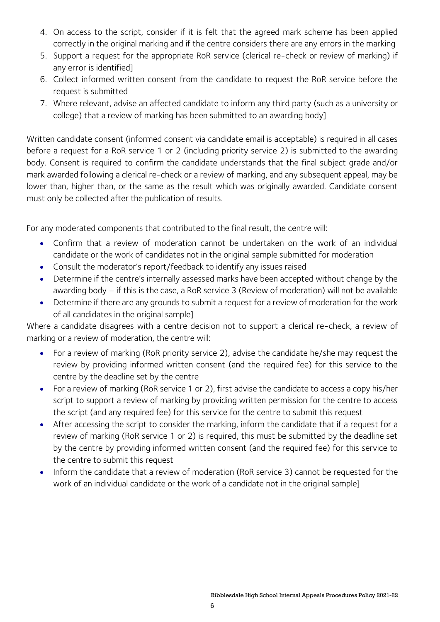- 4. On access to the script, consider if it is felt that the agreed mark scheme has been applied correctly in the original marking and if the centre considers there are any errors in the marking
- 5. Support a request for the appropriate RoR service (clerical re-check or review of marking) if any error is identified]
- 6. Collect informed written consent from the candidate to request the RoR service before the request is submitted
- 7. Where relevant, advise an affected candidate to inform any third party (such as a university or college) that a review of marking has been submitted to an awarding body]

Written candidate consent (informed consent via candidate email is acceptable) is required in all cases before a request for a RoR service 1 or 2 (including priority service 2) is submitted to the awarding body. Consent is required to confirm the candidate understands that the final subject grade and/or mark awarded following a clerical re-check or a review of marking, and any subsequent appeal, may be lower than, higher than, or the same as the result which was originally awarded. Candidate consent must only be collected after the publication of results.

For any moderated components that contributed to the final result, the centre will:

- Confirm that a review of moderation cannot be undertaken on the work of an individual candidate or the work of candidates not in the original sample submitted for moderation
- Consult the moderator's report/feedback to identify any issues raised
- Determine if the centre's internally assessed marks have been accepted without change by the awarding body – if this is the case, a RoR service 3 (Review of moderation) will not be available
- Determine if there are any grounds to submit a request for a review of moderation for the work of all candidates in the original sample]

Where a candidate disagrees with a centre decision not to support a clerical re-check, a review of marking or a review of moderation, the centre will:

- For a review of marking (RoR priority service 2), advise the candidate he/she may request the review by providing informed written consent (and the required fee) for this service to the centre by the deadline set by the centre
- For a review of marking (RoR service 1 or 2), first advise the candidate to access a copy his/her script to support a review of marking by providing written permission for the centre to access the script (and any required fee) for this service for the centre to submit this request
- After accessing the script to consider the marking, inform the candidate that if a request for a review of marking (RoR service 1 or 2) is required, this must be submitted by the deadline set by the centre by providing informed written consent (and the required fee) for this service to the centre to submit this request
- Inform the candidate that a review of moderation (RoR service 3) cannot be requested for the work of an individual candidate or the work of a candidate not in the original sample]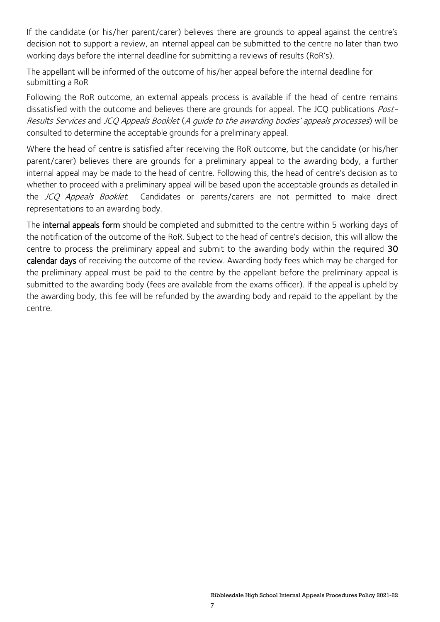If the candidate (or his/her parent/carer) believes there are grounds to appeal against the centre's decision not to support a review, an internal appeal can be submitted to the centre no later than two working days before the internal deadline for submitting a reviews of results (RoR's).

The appellant will be informed of the outcome of his/her appeal before the internal deadline for submitting a RoR

Following the RoR outcome, an external appeals process is available if the head of centre remains dissatisfied with the outcome and believes there are grounds for appeal. The JCQ publications Post-Results Services and JCQ Appeals Booklet (A guide to the awarding bodies' appeals processes) will be consulted to determine the acceptable grounds for a preliminary appeal.

Where the head of centre is satisfied after receiving the RoR outcome, but the candidate (or his/her parent/carer) believes there are grounds for a preliminary appeal to the awarding body, a further internal appeal may be made to the head of centre. Following this, the head of centre's decision as to whether to proceed with a preliminary appeal will be based upon the acceptable grounds as detailed in the JCQ Appeals Booklet. Candidates or parents/carers are not permitted to make direct representations to an awarding body.

The internal appeals form should be completed and submitted to the centre within 5 working days of the notification of the outcome of the RoR. Subject to the head of centre's decision, this will allow the centre to process the preliminary appeal and submit to the awarding body within the required 30 calendar days of receiving the outcome of the review. Awarding body fees which may be charged for the preliminary appeal must be paid to the centre by the appellant before the preliminary appeal is submitted to the awarding body (fees are available from the exams officer). If the appeal is upheld by the awarding body, this fee will be refunded by the awarding body and repaid to the appellant by the centre.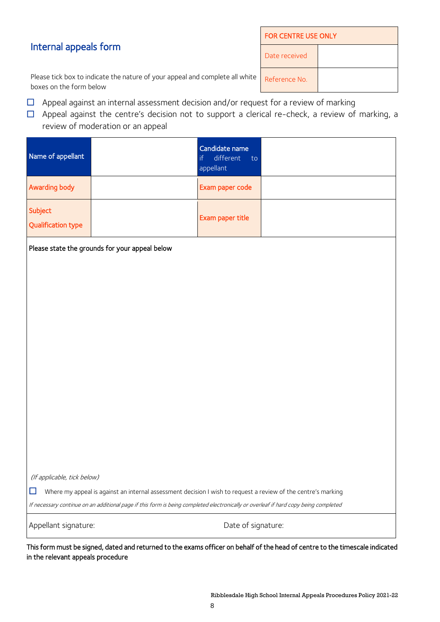#### Internal appeals form

| <b>FOR CENTRE USE ONLY</b> |  |  |  |
|----------------------------|--|--|--|
| Date received              |  |  |  |
| Reference No.              |  |  |  |

Please tick box to indicate the nature of your appeal and complete all white boxes on the form below

- $\Box$  Appeal against an internal assessment decision and/or request for a review of marking
- $\Box$  Appeal against the centre's decision not to support a clerical re-check, a review of marking, a review of moderation or an appeal

| Name of appellant                    | Candidate name<br>different to<br>appellant |  |
|--------------------------------------|---------------------------------------------|--|
| Awarding body                        | Exam paper code                             |  |
| Subject<br><b>Qualification type</b> | Exam paper title                            |  |

Please state the grounds for your appeal below

(If applicable, tick below)

 $\Box$  Where my appeal is against an internal assessment decision I wish to request a review of the centre's marking

If necessary continue on an additional page if this form is being completed electronically or overleaf if hard copy being completed

Appellant signature:  $\blacksquare$ 

This form must be signed, dated and returned to the exams officer on behalf of the head of centre to the timescale indicated in the relevant appeals procedure